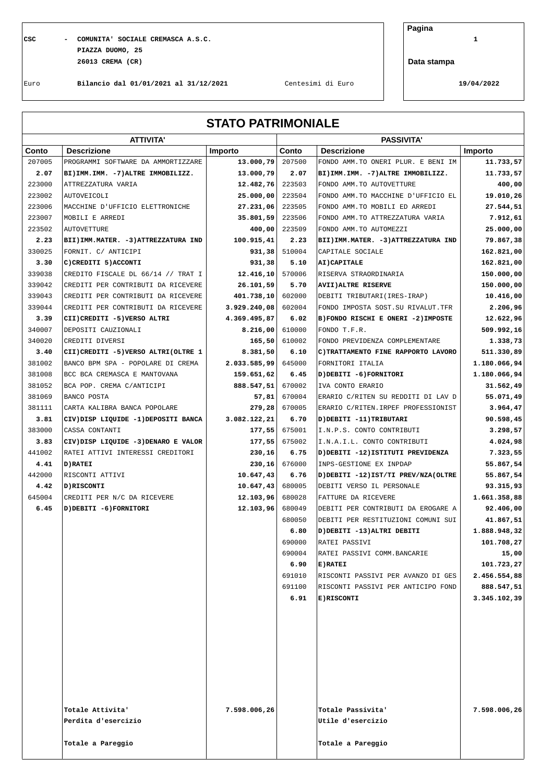**CSC - COMUNITA' SOCIALE CREMASCA A.S.C. 1 PIAZZA DUOMO, 25 26013 CREMA (CR)**

**Pagina**

**Data stampa**

Euro **Bilancio dal 01/01/2021 al 31/12/2021** Centesimi di Euro **19/04/2022**

## **STATO PATRIMONIALE**

|        | <b>ATTIVITA'</b>                       |              |        | <b>PASSIVITA'</b>                      |                |  |  |
|--------|----------------------------------------|--------------|--------|----------------------------------------|----------------|--|--|
| Conto  | <b>Descrizione</b>                     | Importo      | Conto  | <b>Descrizione</b>                     | <b>Importo</b> |  |  |
| 207005 | PROGRAMMI SOFTWARE DA AMMORTIZZARE     | 13.000,79    | 207500 | FONDO AMM. TO ONERI PLUR. E BENI IM    | 11.733,57      |  |  |
| 2.07   | BI) IMM. IMM. - 7) ALTRE IMMOBILIZZ.   | 13.000,79    | 2.07   | BI) IMM. IMM. - 7) ALTRE IMMOBILIZZ.   | 11.733,57      |  |  |
| 223000 | ATTREZZATURA VARIA                     | 12.482,76    | 223503 | FONDO AMM. TO AUTOVETTURE              | 400,00         |  |  |
| 223002 | AUTOVEICOLI                            | 25.000,00    | 223504 | FONDO AMM. TO MACCHINE D'UFFICIO EL    | 19.010,26      |  |  |
| 223006 | MACCHINE D'UFFICIO ELETTRONICHE        | 27.231,06    | 223505 | FONDO AMM. TO MOBILI ED ARREDI         | 27.544,51      |  |  |
| 223007 | MOBILI E ARREDI                        | 35.801,59    | 223506 | FONDO AMM. TO ATTREZZATURA VARIA       | 7.912,61       |  |  |
| 223502 | <b>AUTOVETTURE</b>                     | 400,00       | 223509 | FONDO AMM. TO AUTOMEZZI                | 25.000,00      |  |  |
| 2.23   | BII) IMM. MATER. - 3) ATTREZZATURA IND | 100.915,41   | 2.23   | BII) IMM. MATER. - 3) ATTREZZATURA IND | 79.867,38      |  |  |
| 330025 | FORNIT. C/ ANTICIPI                    | 931,38       | 510004 | CAPITALE SOCIALE                       | 162.821,00     |  |  |
| 3.30   | C) CREDITI 5) ACCONTI                  | 931,38       | 5.10   | AI) CAPITALE                           | 162.821,00     |  |  |
| 339038 | CREDITO FISCALE DL 66/14 // TRAT I     | 12,416,10    | 570006 | RISERVA STRAORDINARIA                  | 150.000,00     |  |  |
| 339042 | CREDITI PER CONTRIBUTI DA RICEVERE     | 26.101,59    | 5.70   | <b>AVII) ALTRE RISERVE</b>             | 150.000,00     |  |  |
| 339043 | CREDITI PER CONTRIBUTI DA RICEVERE     | 401.738,10   | 602000 | DEBITI TRIBUTARI (IRES-IRAP)           | 10.416,00      |  |  |
| 339044 | CREDITI PER CONTRIBUTI DA RICEVERE     | 3.929.240,08 | 602004 | FONDO IMPOSTA SOST. SU RIVALUT. TFR    | 2.206,96       |  |  |
| 3.39   | CII) CREDITI -5) VERSO ALTRI           | 4.369.495,87 | 6.02   | B) FONDO RISCHI E ONERI -2) IMPOSTE    | 12.622,96      |  |  |
| 340007 | DEPOSITI CAUZIONALI                    | 8.216,00     | 610000 | FONDO T.F.R.                           | 509.992,16     |  |  |
| 340020 | CREDITI DIVERSI                        | 165,50       | 610002 | FONDO PREVIDENZA COMPLEMENTARE         | 1.338,73       |  |  |
| 3.40   | CII) CREDITI -5) VERSO ALTRI (OLTRE 1  | 8.381,50     | 6.10   | C) TRATTAMENTO FINE RAPPORTO LAVORO    | 511.330,89     |  |  |
| 381002 | BANCO BPM SPA - POPOLARE DI CREMA      | 2.033.585,99 | 645000 | FORNITORI ITALIA                       | 1.180.066,94   |  |  |
| 381008 | BCC BCA CREMASCA E MANTOVANA           | 159.651,62   | 6.45   | D) DEBITI -6) FORNITORI                | 1.180.066,94   |  |  |
| 381052 | BCA POP. CREMA C/ANTICIPI              | 888.547,51   | 670002 | IVA CONTO ERARIO                       | 31.562,49      |  |  |
| 381069 | BANCO POSTA                            | 57,81        | 670004 | ERARIO C/RITEN SU REDDITI DI LAV D     | 55.071,49      |  |  |
| 381111 | CARTA KALIBRA BANCA POPOLARE           | 279,28       | 670005 | ERARIO C/RITEN. IRPEF PROFESSIONIST    | 3.964,47       |  |  |
| 3.81   | CIV) DISP LIQUIDE -1) DEPOSITI BANCA   | 3.082.122,21 | 6.70   | D) DEBITI -11) TRIBUTARI               | 90.598,45      |  |  |
| 383000 | CASSA CONTANTI                         | 177,55       | 675001 | I.N.P.S. CONTO CONTRIBUTI              | 3.298,57       |  |  |
| 3.83   | CIV) DISP LIQUIDE -3) DENARO E VALOR   | 177,55       | 675002 | I.N.A.I.L. CONTO CONTRIBUTI            | 4.024,98       |  |  |
| 441002 | RATEI ATTIVI INTERESSI CREDITORI       | 230,16       | 6.75   | D) DEBITI -12) ISTITUTI PREVIDENZA     | 7.323,55       |  |  |
| 4.41   | D) RATEI                               | 230,16       | 676000 | INPS-GESTIONE EX INPDAP                | 55.867,54      |  |  |
| 442000 | RISCONTI ATTIVI                        | 10.647,43    | 6.76   | D) DEBITI -12) IST/TI PREV/NZA(OLTRE   | 55.867,54      |  |  |
| 4.42   | D) RISCONTI                            | 10.647, 43   | 680005 | DEBITI VERSO IL PERSONALE              | 93.315,93      |  |  |
| 645004 | CREDITI PER N/C DA RICEVERE            | 12.103,96    | 680028 | FATTURE DA RICEVERE                    | 1.661.358,88   |  |  |
| 6.45   | D) DEBITI -6) FORNITORI                | 12.103,96    | 680049 | DEBITI PER CONTRIBUTI DA EROGARE A     | 92.406,00      |  |  |
|        |                                        |              | 680050 | DEBITI PER RESTITUZIONI COMUNI SUI     | 41.867,51      |  |  |
|        |                                        |              | 6.80   | D) DEBITI -13) ALTRI DEBITI            | 1.888.948,32   |  |  |
|        |                                        |              | 690000 | RATEI PASSIVI                          | 101.708,27     |  |  |
|        |                                        |              | 690004 | RATEI PASSIVI COMM.BANCARIE            | 15,00          |  |  |
|        |                                        |              | 6.90   | E) RATEI                               | 101.723,27     |  |  |
|        |                                        |              | 691010 | RISCONTI PASSIVI PER AVANZO DI GES     | 2.456.554,88   |  |  |
|        |                                        |              | 691100 | RISCONTI PASSIVI PER ANTICIPO FOND     | 888.547,51     |  |  |
|        |                                        |              | 6.91   | <b>E)RISCONTI</b>                      | 3.345.102,39   |  |  |
|        |                                        |              |        |                                        |                |  |  |
|        |                                        |              |        |                                        |                |  |  |
|        |                                        |              |        |                                        |                |  |  |
|        |                                        |              |        |                                        |                |  |  |
|        |                                        |              |        |                                        |                |  |  |
|        |                                        |              |        |                                        |                |  |  |
|        |                                        |              |        |                                        |                |  |  |
|        |                                        |              |        |                                        |                |  |  |
|        |                                        |              |        |                                        |                |  |  |
|        | Totale Attivita'                       | 7.598.006,26 |        | Totale Passivita'                      | 7.598.006,26   |  |  |
|        | Perdita d'esercizio                    |              |        | Utile d'esercizio                      |                |  |  |
|        |                                        |              |        |                                        |                |  |  |
|        | Totale a Pareggio                      |              |        | Totale a Pareggio                      |                |  |  |
|        |                                        |              |        |                                        |                |  |  |
|        |                                        |              |        |                                        |                |  |  |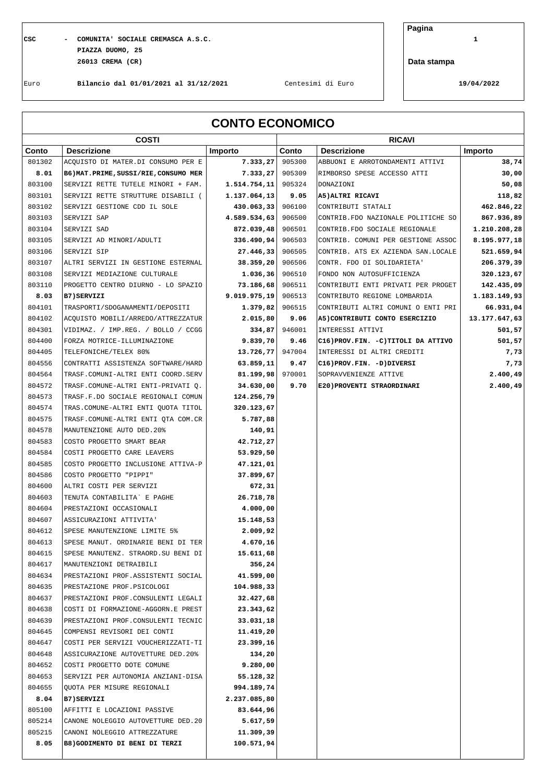## **CSC - COMUNITA' SOCIALE CREMASCA A.S.C. 1 PIAZZA DUOMO, 25 26013 CREMA (CR)**

**Pagina**

**Data stampa**

Euro **Bilancio dal 01/01/2021 al 31/12/2021** Centesimi di Euro **19/04/2022**

| <b>CONTO ECONOMICO</b> |                                        |               |        |                                       |               |  |
|------------------------|----------------------------------------|---------------|--------|---------------------------------------|---------------|--|
|                        | <b>COSTI</b>                           | <b>RICAVI</b> |        |                                       |               |  |
| Conto                  | <b>Descrizione</b>                     | Importo       | Conto  | <b>Descrizione</b>                    | Importo       |  |
| 801302                 | ACQUISTO DI MATER. DI CONSUMO PER E    | 7.333,27      | 905300 | ABBUONI E ARROTONDAMENTI ATTIVI       | 38,74         |  |
| 8.01                   | B6) MAT. PRIME, SUSSI/RIE, CONSUMO MER | 7.333,27      | 905309 | RIMBORSO SPESE ACCESSO ATTI           | 30,00         |  |
| 803100                 | SERVIZI RETTE TUTELE MINORI + FAM.     | 1.514.754, 11 | 905324 | DONAZIONI                             | 50,08         |  |
| 803101                 | SERVIZI RETTE STRUTTURE DISABILI (     | 1.137.064,13  | 9.05   | A5) ALTRI RICAVI                      | 118,82        |  |
| 803102                 | SERVIZI GESTIONE CDD IL SOLE           | 430.063,33    | 906100 | CONTRIBUTI STATALI                    | 462.846,22    |  |
| 803103                 | SERVIZI SAP                            | 4.589.534,63  | 906500 | CONTRIB. FDO NAZIONALE POLITICHE SO   | 867.936,89    |  |
| 803104                 | SERVIZI SAD                            | 872.039,48    | 906501 | CONTRIB. FDO SOCIALE REGIONALE        | 1.210.208,28  |  |
| 803105                 | SERVIZI AD MINORI/ADULTI               | 336.490,94    | 906503 | CONTRIB. COMUNI PER GESTIONE ASSOC    | 8.195.977,18  |  |
| 803106                 | SERVIZI SIP                            | 27.446,33     | 906505 | CONTRIB. ATS EX AZIENDA SAN.LOCALE    | 521.659,94    |  |
| 803107                 | ALTRI SERVIZI IN GESTIONE ESTERNAL     | 38.359,20     | 906506 | CONTR. FDO DI SOLIDARIETA'            | 206.379,39    |  |
| 803108                 | SERVIZI MEDIAZIONE CULTURALE           | 1.036,36      | 906510 | FONDO NON AUTOSUFFICIENZA             | 320.123,67    |  |
| 803110                 | PROGETTO CENTRO DIURNO - LO SPAZIO     | 73.186,68     | 906511 | CONTRIBUTI ENTI PRIVATI PER PROGET    | 142.435,09    |  |
| 8.03                   | B7) SERVIZI                            | 9.019.975,19  | 906513 | CONTRIBUTO REGIONE LOMBARDIA          | 1.183.149,93  |  |
| 804101                 | TRASPORTI/SDOGANAMENTI/DEPOSITI        | 1.379,82      | 906515 | CONTRIBUTI ALTRI COMUNI O ENTI PRI    | 66.931,04     |  |
| 804102                 | ACQUISTO MOBILI/ARREDO/ATTREZZATUR     | 2.015,80      | 9.06   | A5) CONTRIBUTI CONTO ESERCIZIO        | 13.177.647,63 |  |
| 804301                 | VIDIMAZ. / IMP.REG. / BOLLO / CCGG     | 334,87        | 946001 | INTERESSI ATTIVI                      | 501,57        |  |
| 804400                 | FORZA MOTRICE-ILLUMINAZIONE            | 9.839,70      | 9.46   | C16) PROV. FIN. - C) TITOLI DA ATTIVO | 501,57        |  |
| 804405                 | TELEFONICHE/TELEX 80%                  | 13.726,77     | 947004 | INTERESSI DI ALTRI CREDITI            | 7,73          |  |
| 804556                 | CONTRATTI ASSISTENZA SOFTWARE/HARD     | 63.859,11     | 9.47   | C16) PROV. FIN. - D) DIVERSI          | 7,73          |  |
| 804564                 | TRASF.COMUNI-ALTRI ENTI COORD.SERV     | 81.199,98     | 970001 | SOPRAVVENIENZE ATTIVE                 | 2.400,49      |  |
| 804572                 | TRASF.COMUNE-ALTRI ENTI-PRIVATI Q.     | 34.630,00     | 9.70   | E20) PROVENTI STRAORDINARI            | 2.400,49      |  |
| 804573                 | TRASF.F.DO SOCIALE REGIONALI COMUN     | 124.256,79    |        |                                       |               |  |
| 804574                 | TRAS. COMUNE-ALTRI ENTI QUOTA TITOL    | 320.123,67    |        |                                       |               |  |
| 804575                 | TRASF.COMUNE-ALTRI ENTI QTA COM.CR     | 5.787,88      |        |                                       |               |  |
| 804578                 | MANUTENZIONE AUTO DED. 20%             | 140,91        |        |                                       |               |  |
| 804583                 | COSTO PROGETTO SMART BEAR              | 42.712,27     |        |                                       |               |  |
| 804584                 | COSTI PROGETTO CARE LEAVERS            | 53.929,50     |        |                                       |               |  |
| 804585                 | COSTO PROGETTO INCLUSIONE ATTIVA-P     | 47.121,01     |        |                                       |               |  |
| 804586                 | COSTO PROGETTO "PIPPI"                 | 37.899,67     |        |                                       |               |  |
| 804600                 | ALTRI COSTI PER SERVIZI                | 672,31        |        |                                       |               |  |
| 804603                 | TENUTA CONTABILITA` E PAGHE            | 26.718,78     |        |                                       |               |  |
| 804604                 | PRESTAZIONI OCCASIONALI                | 4.000,00      |        |                                       |               |  |
| 804607                 | ASSICURAZIONI ATTIVITA'                | 15.148,53     |        |                                       |               |  |
| 804612                 | SPESE MANUTENZIONE LIMITE 5%           | 2.009,92      |        |                                       |               |  |
| 804613                 | SPESE MANUT. ORDINARIE BENI DI TER     | 4.670,16      |        |                                       |               |  |
| 804615                 | SPESE MANUTENZ. STRAORD. SU BENI DI    | 15.611,68     |        |                                       |               |  |
| 804617                 | MANUTENZIONI DETRAIBILI                | 356,24        |        |                                       |               |  |
| 804634                 | PRESTAZIONI PROF. ASSISTENTI SOCIAL    | 41.599,00     |        |                                       |               |  |
| 804635                 | PRESTAZIONE PROF. PSICOLOGI            | 104.988,33    |        |                                       |               |  |
| 804637                 | PRESTAZIONI PROF. CONSULENTI LEGALI    | 32.427,68     |        |                                       |               |  |
| 804638                 | COSTI DI FORMAZIONE-AGGORN.E PREST     | 23.343,62     |        |                                       |               |  |
| 804639                 | PRESTAZIONI PROF. CONSULENTI TECNIC    | 33.031,18     |        |                                       |               |  |
| 804645                 | COMPENSI REVISORI DEI CONTI            | 11.419,20     |        |                                       |               |  |
| 804647                 | COSTI PER SERVIZI VOUCHERIZZATI-TI     | 23.399,16     |        |                                       |               |  |
| 804648                 | ASSICURAZIONE AUTOVETTURE DED. 20%     | 134,20        |        |                                       |               |  |
| 804652                 | COSTI PROGETTO DOTE COMUNE             | 9.280,00      |        |                                       |               |  |
| 804653                 | SERVIZI PER AUTONOMIA ANZIANI-DISA     | 55.128,32     |        |                                       |               |  |
| 804655                 | QUOTA PER MISURE REGIONALI             | 994.189,74    |        |                                       |               |  |
| 8.04                   | B7) SERVIZI                            | 2.237.085,80  |        |                                       |               |  |
| 805100                 | AFFITTI E LOCAZIONI PASSIVE            | 83.644,96     |        |                                       |               |  |
| 805214                 | CANONE NOLEGGIO AUTOVETTURE DED. 20    | 5.617,59      |        |                                       |               |  |
| 805215                 | CANONI NOLEGGIO ATTREZZATURE           | 11.309,39     |        |                                       |               |  |
| 8.05                   | B8) GODIMENTO DI BENI DI TERZI         | 100.571,94    |        |                                       |               |  |
|                        |                                        |               |        |                                       |               |  |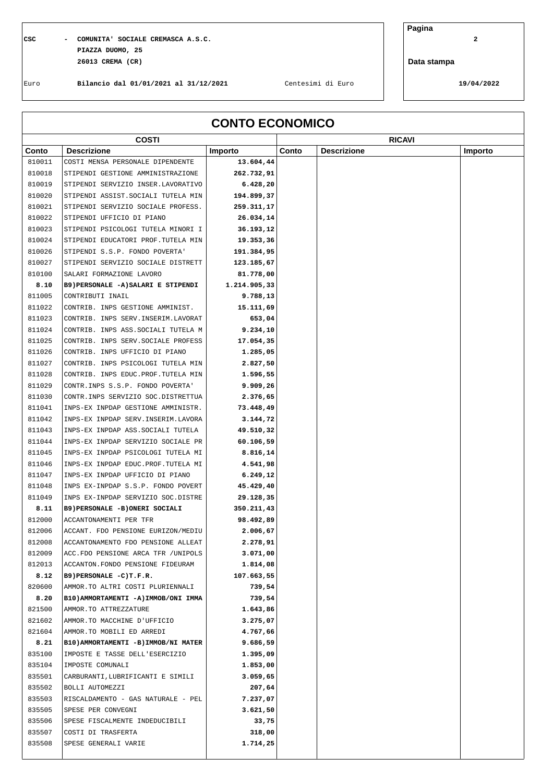## **CSC - COMUNITA' SOCIALE CREMASCA A.S.C. 2 PIAZZA DUOMO, 25 26013 CREMA (CR)**

**Pagina**

**Data stampa**

Euro **Bilancio dal 01/01/2021 al 31/12/2021** Centesimi di Euro **19/04/2022**

| <b>CONTO ECONOMICO</b> |                                                               |                    |       |                    |         |
|------------------------|---------------------------------------------------------------|--------------------|-------|--------------------|---------|
|                        | <b>COSTI</b>                                                  |                    |       | <b>RICAVI</b>      |         |
| Conto                  | <b>Descrizione</b>                                            | Importo            | Conto | <b>Descrizione</b> | Importo |
| 810011                 | COSTI MENSA PERSONALE DIPENDENTE                              | 13.604,44          |       |                    |         |
| 810018                 | STIPENDI GESTIONE AMMINISTRAZIONE                             | 262.732,91         |       |                    |         |
| 810019                 | STIPENDI SERVIZIO INSER.LAVORATIVO                            | 6.428,20           |       |                    |         |
| 810020                 | STIPENDI ASSIST. SOCIALI TUTELA MIN                           | 194.899,37         |       |                    |         |
| 810021                 | STIPENDI SERVIZIO SOCIALE PROFESS.                            | 259.311,17         |       |                    |         |
| 810022                 | STIPENDI UFFICIO DI PIANO                                     | 26.034,14          |       |                    |         |
| 810023                 | STIPENDI PSICOLOGI TUTELA MINORI I                            | 36.193,12          |       |                    |         |
| 810024                 | STIPENDI EDUCATORI PROF. TUTELA MIN                           | 19.353,36          |       |                    |         |
| 810026                 | STIPENDI S.S.P. FONDO POVERTA'                                | 191.384,95         |       |                    |         |
| 810027                 | STIPENDI SERVIZIO SOCIALE DISTRETT                            | 123.185,67         |       |                    |         |
| 810100                 | SALARI FORMAZIONE LAVORO                                      | 81.778,00          |       |                    |         |
| 8.10                   | B9) PERSONALE -A) SALARI E STIPENDI                           | 1.214.905,33       |       |                    |         |
| 811005                 | CONTRIBUTI INAIL                                              | 9.788,13           |       |                    |         |
| 811022                 | CONTRIB. INPS GESTIONE AMMINIST.                              | 15.111,69          |       |                    |         |
| 811023                 | CONTRIB. INPS SERV. INSERIM. LAVORAT                          | 653,04             |       |                    |         |
| 811024                 | CONTRIB. INPS ASS. SOCIALI TUTELA M                           | 9.234,10           |       |                    |         |
| 811025                 | CONTRIB. INPS SERV. SOCIALE PROFESS                           | 17.054,35          |       |                    |         |
| 811026                 | CONTRIB. INPS UFFICIO DI PIANO                                | 1.285,05           |       |                    |         |
| 811027                 | CONTRIB. INPS PSICOLOGI TUTELA MIN                            | 2.827,50           |       |                    |         |
| 811028                 | CONTRIB. INPS EDUC. PROF. TUTELA MIN                          | 1.596,55           |       |                    |         |
| 811029                 | CONTR. INPS S.S.P. FONDO POVERTA'                             | 9.909,26           |       |                    |         |
| 811030                 | CONTR. INPS SERVIZIO SOC. DISTRETTUA                          | 2.376,65           |       |                    |         |
| 811041                 | INPS-EX INPDAP GESTIONE AMMINISTR.                            | 73.448,49          |       |                    |         |
| 811042                 | INPS-EX INPDAP SERV. INSERIM. LAVORA                          | 3.144,72           |       |                    |         |
| 811043                 | INPS-EX INPDAP ASS. SOCIALI TUTELA                            | 49.510,32          |       |                    |         |
| 811044                 | INPS-EX INPDAP SERVIZIO SOCIALE PR                            | 60.106,59          |       |                    |         |
| 811045                 | INPS-EX INPDAP PSICOLOGI TUTELA MI                            | 8.816,14           |       |                    |         |
| 811046                 | INPS-EX INPDAP EDUC.PROF.TUTELA MI                            | 4.541,98           |       |                    |         |
| 811047                 | INPS-EX INPDAP UFFICIO DI PIANO                               | 6.249, 12          |       |                    |         |
| 811048                 | INPS EX-INPDAP S.S.P. FONDO POVERT                            | 45.429,40          |       |                    |         |
| 811049                 | INPS EX-INPDAP SERVIZIO SOC.DISTRE                            | 29.128,35          |       |                    |         |
| 8.11                   | B9) PERSONALE -B) ONERI SOCIALI                               | 350.211,43         |       |                    |         |
| 812000                 | ACCANTONAMENTI PER TFR                                        | 98.492,89          |       |                    |         |
| 812006                 | ACCANT. FDO PENSIONE EURIZON/MEDIU                            | 2.006,67           |       |                    |         |
| 812008                 | ACCANTONAMENTO FDO PENSIONE ALLEAT                            | 2.278,91           |       |                    |         |
| 812009                 | ACC.FDO PENSIONE ARCA TFR /UNIPOLS                            | 3.071,00           |       |                    |         |
| 812013                 | ACCANTON. FONDO PENSIONE FIDEURAM                             | 1.814,08           |       |                    |         |
| 8.12<br>820600         | B9) PERSONALE -C) T.F.R.<br>AMMOR.TO ALTRI COSTI PLURIENNALI  | 107.663,55         |       |                    |         |
| 8.20                   |                                                               | 739,54             |       |                    |         |
| 821500                 | B10) AMMORTAMENTI -A) IMMOB/ONI IMMA<br>AMMOR.TO ATTREZZATURE | 739,54<br>1.643,86 |       |                    |         |
| 821602                 | AMMOR.TO MACCHINE D'UFFICIO                                   | 3.275,07           |       |                    |         |
| 821604                 | AMMOR.TO MOBILI ED ARREDI                                     | 4.767,66           |       |                    |         |
| 8.21                   | B10) AMMORTAMENTI -B) IMMOB/NI MATER                          | 9.686,59           |       |                    |         |
| 835100                 | IMPOSTE E TASSE DELL'ESERCIZIO                                | 1.395,09           |       |                    |         |
| 835104                 | IMPOSTE COMUNALI                                              | 1.853,00           |       |                    |         |
| 835501                 | CARBURANTI, LUBRIFICANTI E SIMILI                             | 3.059,65           |       |                    |         |
| 835502                 | BOLLI AUTOMEZZI                                               | 207,64             |       |                    |         |
| 835503                 | RISCALDAMENTO - GAS NATURALE - PEL                            | 7.237,07           |       |                    |         |
| 835505                 | SPESE PER CONVEGNI                                            | 3.621,50           |       |                    |         |
| 835506                 | SPESE FISCALMENTE INDEDUCIBILI                                | 33,75              |       |                    |         |
| 835507                 | COSTI DI TRASFERTA                                            | 318,00             |       |                    |         |
| 835508                 | SPESE GENERALI VARIE                                          | 1.714,25           |       |                    |         |
|                        |                                                               |                    |       |                    |         |